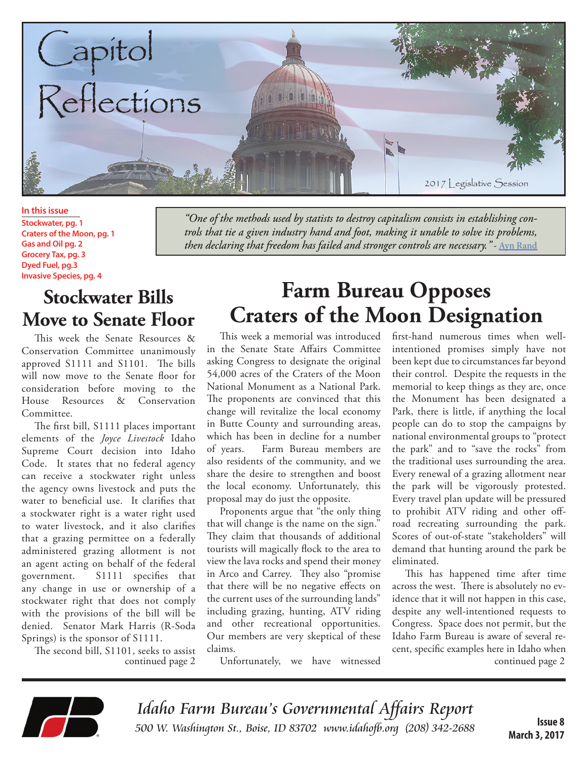

**In this issue Stockwater, pg. 1 Craters of the Moon, pg. 1 Gas and Oil pg. 2 Grocery Tax, pg. 3 Dyed Fuel, pg.3 Invasive Species, pg. 4**

#### **Stockwater Bills Move to Senate Floor**

This week the Senate Resources & Conservation Committee unanimously approved S1111 and S1101. The bills will now move to the Senate floor for consideration before moving to the House Resources & Conservation Committee.

The first bill, S1111 places important elements of the *Joyce Livestock* Idaho Supreme Court decision into Idaho Code. It states that no federal agency can receive a stockwater right unless the agency owns livestock and puts the water to beneficial use. It clarifies that a stockwater right is a water right used to water livestock, and it also clarifies that a grazing permittee on a federally administered grazing allotment is not an agent acting on behalf of the federal government. S1111 specifies that any change in use or ownership of a stockwater right that does not comply with the provisions of the bill will be denied. Senator Mark Harris (R-Soda Springs) is the sponsor of S1111.

The second bill, S1101, seeks to assist continued page 2

*"One of the methods used by statists to destroy capitalism consists in establishing controls that tie a given industry hand and foot, making it unable to solve its problems, then declaring that freedom has failed and stronger controls are necessary."* - Ayn Rand

## **Farm Bureau Opposes Craters of the Moon Designation**

This week a memorial was introduced in the Senate State Affairs Committee asking Congress to designate the original 54,000 acres of the Craters of the Moon National Monument as a National Park. The proponents are convinced that this change will revitalize the local economy in Butte County and surrounding areas, which has been in decline for a number of years. Farm Bureau members are also residents of the community, and we share the desire to strengthen and boost the local economy. Unfortunately, this proposal may do just the opposite.

Proponents argue that "the only thing that will change is the name on the sign." They claim that thousands of additional tourists will magically flock to the area to view the lava rocks and spend their money in Arco and Carrey. They also "promise that there will be no negative effects on the current uses of the surrounding lands" including grazing, hunting, ATV riding and other recreational opportunities. Our members are very skeptical of these claims.

Unfortunately, we have witnessed

first-hand numerous times when wellintentioned promises simply have not been kept due to circumstances far beyond their control. Despite the requests in the memorial to keep things as they are, once the Monument has been designated a Park, there is little, if anything the local people can do to stop the campaigns by national environmental groups to "protect the park" and to "save the rocks" from the traditional uses surrounding the area. Every renewal of a grazing allotment near the park will be vigorously protested. Every travel plan update will be pressured to prohibit ATV riding and other offroad recreating surrounding the park. Scores of out-of-state "stakeholders" will demand that hunting around the park be eliminated.

continued page 2 This has happened time after time across the west. There is absolutely no evidence that it will not happen in this case, despite any well-intentioned requests to Congress. Space does not permit, but the Idaho Farm Bureau is aware of several recent, specific examples here in Idaho when



Idaho Farm Bureau's Governmental Affairs Report 500 W. Washington St., Boise, ID 83702 www.idahofb.org (208) 342-2688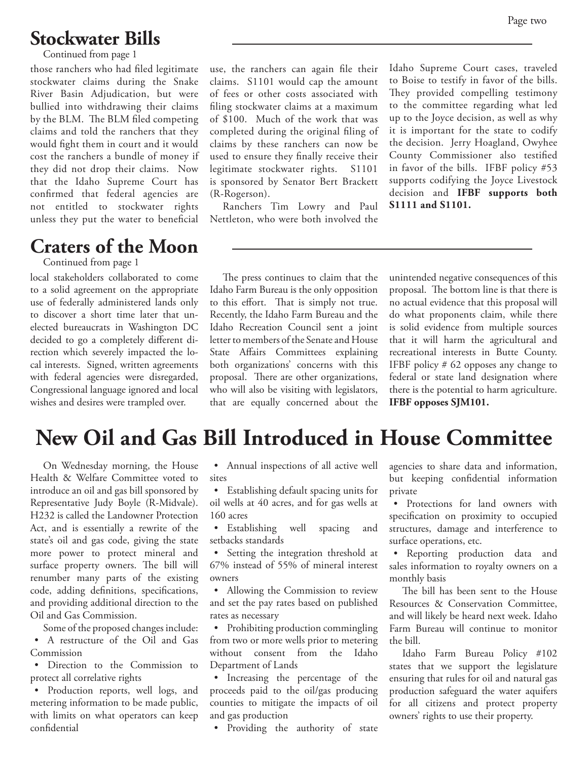#### Page two

#### **Stockwater Bills**

Continued from page 1

those ranchers who had filed legitimate stockwater claims during the Snake River Basin Adjudication, but were bullied into withdrawing their claims by the BLM. The BLM filed competing claims and told the ranchers that they would fight them in court and it would cost the ranchers a bundle of money if they did not drop their claims. Now that the Idaho Supreme Court has confirmed that federal agencies are not entitled to stockwater rights unless they put the water to beneficial

#### **Craters of the Moon**

Continued from page 1

local stakeholders collaborated to come to a solid agreement on the appropriate use of federally administered lands only to discover a short time later that unelected bureaucrats in Washington DC decided to go a completely different direction which severely impacted the local interests. Signed, written agreements with federal agencies were disregarded, Congressional language ignored and local wishes and desires were trampled over.

use, the ranchers can again file their claims. S1101 would cap the amount of fees or other costs associated with filing stockwater claims at a maximum of \$100. Much of the work that was completed during the original filing of claims by these ranchers can now be used to ensure they finally receive their legitimate stockwater rights. S1101 is sponsored by Senator Bert Brackett (R-Rogerson).

Ranchers Tim Lowry and Paul Nettleton, who were both involved the

Idaho Supreme Court cases, traveled to Boise to testify in favor of the bills. They provided compelling testimony to the committee regarding what led up to the Joyce decision, as well as why it is important for the state to codify the decision. Jerry Hoagland, Owyhee County Commissioner also testified in favor of the bills. IFBF policy #53 supports codifying the Joyce Livestock decision and **IFBF supports both S1111 and S1101.**

The press continues to claim that the Idaho Farm Bureau is the only opposition to this effort. That is simply not true. Recently, the Idaho Farm Bureau and the Idaho Recreation Council sent a joint letter to members of the Senate and House State Affairs Committees explaining both organizations' concerns with this proposal. There are other organizations, who will also be visiting with legislators, that are equally concerned about the unintended negative consequences of this proposal. The bottom line is that there is no actual evidence that this proposal will do what proponents claim, while there is solid evidence from multiple sources that it will harm the agricultural and recreational interests in Butte County. IFBF policy # 62 opposes any change to federal or state land designation where there is the potential to harm agriculture. **IFBF opposes SJM101.**

### **New Oil and Gas Bill Introduced in House Committee**

On Wednesday morning, the House Health & Welfare Committee voted to introduce an oil and gas bill sponsored by Representative Judy Boyle (R-Midvale). H232 is called the Landowner Protection Act, and is essentially a rewrite of the state's oil and gas code, giving the state more power to protect mineral and surface property owners. The bill will renumber many parts of the existing code, adding definitions, specifications, and providing additional direction to the Oil and Gas Commission.

Some of the proposed changes include: • A restructure of the Oil and Gas Commission

• Direction to the Commission to protect all correlative rights

• Production reports, well logs, and metering information to be made public, with limits on what operators can keep confidential

• Annual inspections of all active well sites

• Establishing default spacing units for oil wells at 40 acres, and for gas wells at 160 acres

• Establishing well spacing and setbacks standards

• Setting the integration threshold at 67% instead of 55% of mineral interest owners

• Allowing the Commission to review and set the pay rates based on published rates as necessary

• Prohibiting production commingling from two or more wells prior to metering without consent from the Idaho Department of Lands

• Increasing the percentage of the proceeds paid to the oil/gas producing counties to mitigate the impacts of oil and gas production

• Providing the authority of state

agencies to share data and information, but keeping confidential information private

• Protections for land owners with specification on proximity to occupied structures, damage and interference to surface operations, etc.

• Reporting production data and sales information to royalty owners on a monthly basis

The bill has been sent to the House Resources & Conservation Committee, and will likely be heard next week. Idaho Farm Bureau will continue to monitor the bill.

Idaho Farm Bureau Policy #102 states that we support the legislature ensuring that rules for oil and natural gas production safeguard the water aquifers for all citizens and protect property owners' rights to use their property.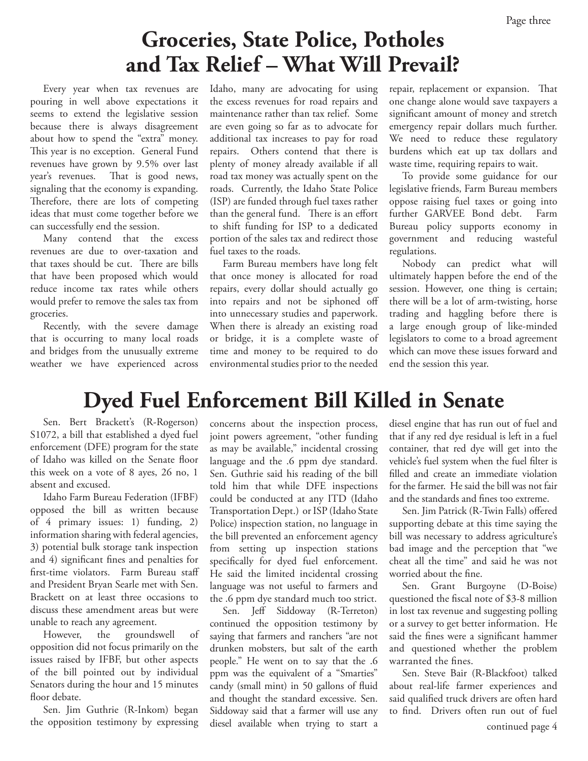# **Groceries, State Police, Potholes and Tax Relief – What Will Prevail?**

Every year when tax revenues are pouring in well above expectations it seems to extend the legislative session because there is always disagreement about how to spend the "extra" money. This year is no exception. General Fund revenues have grown by 9.5% over last year's revenues. That is good news, signaling that the economy is expanding. Therefore, there are lots of competing ideas that must come together before we can successfully end the session.

Many contend that the excess revenues are due to over-taxation and that taxes should be cut. There are bills that have been proposed which would reduce income tax rates while others would prefer to remove the sales tax from groceries.

Recently, with the severe damage that is occurring to many local roads and bridges from the unusually extreme weather we have experienced across Idaho, many are advocating for using the excess revenues for road repairs and maintenance rather than tax relief. Some are even going so far as to advocate for additional tax increases to pay for road repairs. Others contend that there is plenty of money already available if all road tax money was actually spent on the roads. Currently, the Idaho State Police (ISP) are funded through fuel taxes rather than the general fund. There is an effort to shift funding for ISP to a dedicated portion of the sales tax and redirect those fuel taxes to the roads.

Farm Bureau members have long felt that once money is allocated for road repairs, every dollar should actually go into repairs and not be siphoned off into unnecessary studies and paperwork. When there is already an existing road or bridge, it is a complete waste of time and money to be required to do environmental studies prior to the needed

repair, replacement or expansion. That one change alone would save taxpayers a significant amount of money and stretch emergency repair dollars much further. We need to reduce these regulatory burdens which eat up tax dollars and waste time, requiring repairs to wait.

To provide some guidance for our legislative friends, Farm Bureau members oppose raising fuel taxes or going into further GARVEE Bond debt. Farm Bureau policy supports economy in government and reducing wasteful regulations.

Nobody can predict what will ultimately happen before the end of the session. However, one thing is certain; there will be a lot of arm-twisting, horse trading and haggling before there is a large enough group of like-minded legislators to come to a broad agreement which can move these issues forward and end the session this year.

### **Dyed Fuel Enforcement Bill Killed in Senate**

Sen. Bert Brackett's (R-Rogerson) S1072, a bill that established a dyed fuel enforcement (DFE) program for the state of Idaho was killed on the Senate floor this week on a vote of 8 ayes, 26 no, 1 absent and excused.

Idaho Farm Bureau Federation (IFBF) opposed the bill as written because of 4 primary issues: 1) funding, 2) information sharing with federal agencies, 3) potential bulk storage tank inspection and 4) significant fines and penalties for first-time violators. Farm Bureau staff and President Bryan Searle met with Sen. Brackett on at least three occasions to discuss these amendment areas but were unable to reach any agreement.

However, the groundswell of opposition did not focus primarily on the issues raised by IFBF, but other aspects of the bill pointed out by individual Senators during the hour and 15 minutes floor debate.

Sen. Jim Guthrie (R-Inkom) began the opposition testimony by expressing concerns about the inspection process, joint powers agreement, "other funding as may be available," incidental crossing language and the .6 ppm dye standard. Sen. Guthrie said his reading of the bill told him that while DFE inspections could be conducted at any ITD (Idaho Transportation Dept.) or ISP (Idaho State Police) inspection station, no language in the bill prevented an enforcement agency from setting up inspection stations specifically for dyed fuel enforcement. He said the limited incidental crossing language was not useful to farmers and the .6 ppm dye standard much too strict.

Sen. Jeff Siddoway (R-Terreton) continued the opposition testimony by saying that farmers and ranchers "are not drunken mobsters, but salt of the earth people." He went on to say that the .6 ppm was the equivalent of a "Smarties" candy (small mint) in 50 gallons of fluid and thought the standard excessive. Sen. Siddoway said that a farmer will use any diesel available when trying to start a

diesel engine that has run out of fuel and that if any red dye residual is left in a fuel container, that red dye will get into the vehicle's fuel system when the fuel filter is filled and create an immediate violation for the farmer. He said the bill was not fair and the standards and fines too extreme.

Sen. Jim Patrick (R-Twin Falls) offered supporting debate at this time saying the bill was necessary to address agriculture's bad image and the perception that "we cheat all the time" and said he was not worried about the fine.

Sen. Grant Burgoyne (D-Boise) questioned the fiscal note of \$3-8 million in lost tax revenue and suggesting polling or a survey to get better information. He said the fines were a significant hammer and questioned whether the problem warranted the fines.

Sen. Steve Bair (R-Blackfoot) talked about real-life farmer experiences and said qualified truck drivers are often hard to find. Drivers often run out of fuel